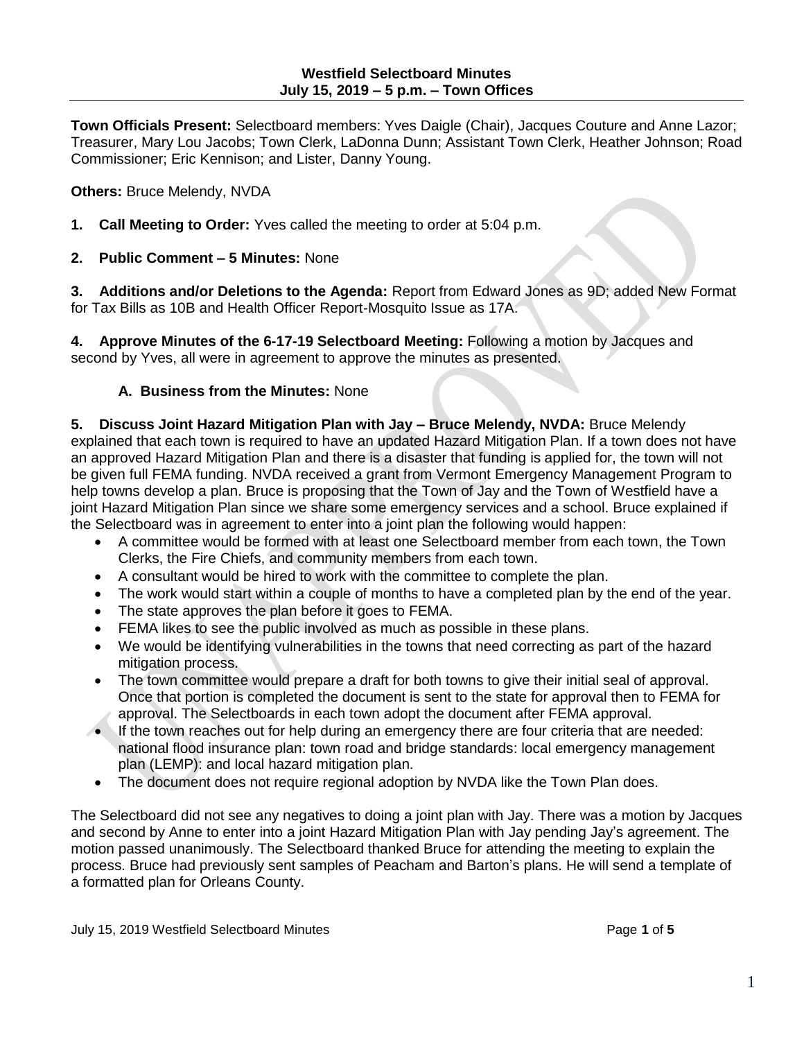**Town Officials Present:** Selectboard members: Yves Daigle (Chair), Jacques Couture and Anne Lazor; Treasurer, Mary Lou Jacobs; Town Clerk, LaDonna Dunn; Assistant Town Clerk, Heather Johnson; Road Commissioner; Eric Kennison; and Lister, Danny Young.

### **Others:** Bruce Melendy, NVDA

- **1. Call Meeting to Order:** Yves called the meeting to order at 5:04 p.m.
- **2. Public Comment – 5 Minutes:** None

**3. Additions and/or Deletions to the Agenda:** Report from Edward Jones as 9D; added New Format for Tax Bills as 10B and Health Officer Report-Mosquito Issue as 17A.

**4. Approve Minutes of the 6-17-19 Selectboard Meeting:** Following a motion by Jacques and second by Yves, all were in agreement to approve the minutes as presented.

# **A. Business from the Minutes:** None

**5. Discuss Joint Hazard Mitigation Plan with Jay – Bruce Melendy, NVDA:** Bruce Melendy explained that each town is required to have an updated Hazard Mitigation Plan. If a town does not have an approved Hazard Mitigation Plan and there is a disaster that funding is applied for, the town will not be given full FEMA funding. NVDA received a grant from Vermont Emergency Management Program to help towns develop a plan. Bruce is proposing that the Town of Jay and the Town of Westfield have a joint Hazard Mitigation Plan since we share some emergency services and a school. Bruce explained if the Selectboard was in agreement to enter into a joint plan the following would happen:

- A committee would be formed with at least one Selectboard member from each town, the Town Clerks, the Fire Chiefs, and community members from each town.
- A consultant would be hired to work with the committee to complete the plan.
- The work would start within a couple of months to have a completed plan by the end of the year.
- The state approves the plan before it goes to FEMA.
- FEMA likes to see the public involved as much as possible in these plans.
- We would be identifying vulnerabilities in the towns that need correcting as part of the hazard mitigation process.
- The town committee would prepare a draft for both towns to give their initial seal of approval. Once that portion is completed the document is sent to the state for approval then to FEMA for approval. The Selectboards in each town adopt the document after FEMA approval.
- If the town reaches out for help during an emergency there are four criteria that are needed: national flood insurance plan: town road and bridge standards: local emergency management plan (LEMP): and local hazard mitigation plan.
- The document does not require regional adoption by NVDA like the Town Plan does.

The Selectboard did not see any negatives to doing a joint plan with Jay. There was a motion by Jacques and second by Anne to enter into a joint Hazard Mitigation Plan with Jay pending Jay's agreement. The motion passed unanimously. The Selectboard thanked Bruce for attending the meeting to explain the process. Bruce had previously sent samples of Peacham and Barton's plans. He will send a template of a formatted plan for Orleans County.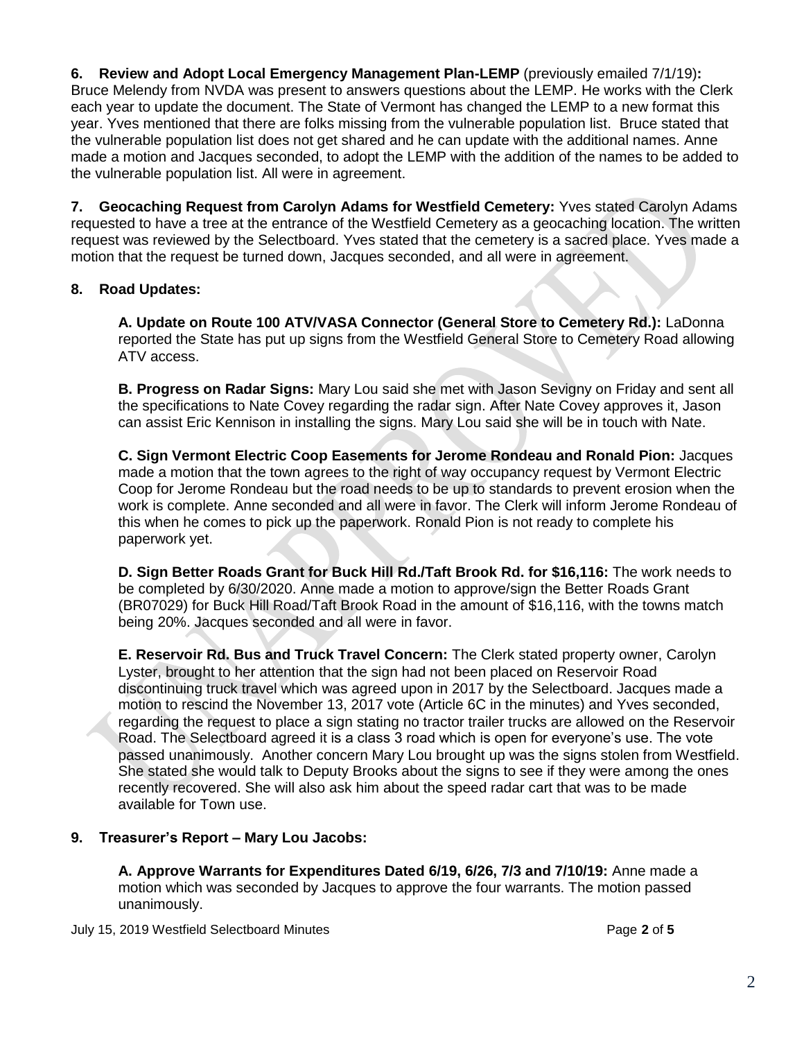**6. Review and Adopt Local Emergency Management Plan-LEMP** (previously emailed 7/1/19)**:** Bruce Melendy from NVDA was present to answers questions about the LEMP. He works with the Clerk each year to update the document. The State of Vermont has changed the LEMP to a new format this year. Yves mentioned that there are folks missing from the vulnerable population list. Bruce stated that the vulnerable population list does not get shared and he can update with the additional names. Anne made a motion and Jacques seconded, to adopt the LEMP with the addition of the names to be added to the vulnerable population list. All were in agreement.

**7. Geocaching Request from Carolyn Adams for Westfield Cemetery:** Yves stated Carolyn Adams requested to have a tree at the entrance of the Westfield Cemetery as a geocaching location. The written request was reviewed by the Selectboard. Yves stated that the cemetery is a sacred place. Yves made a motion that the request be turned down, Jacques seconded, and all were in agreement.

# **8. Road Updates:**

**A. Update on Route 100 ATV/VASA Connector (General Store to Cemetery Rd.):** LaDonna reported the State has put up signs from the Westfield General Store to Cemetery Road allowing ATV access.

**B. Progress on Radar Signs:** Mary Lou said she met with Jason Sevigny on Friday and sent all the specifications to Nate Covey regarding the radar sign. After Nate Covey approves it, Jason can assist Eric Kennison in installing the signs. Mary Lou said she will be in touch with Nate.

**C. Sign Vermont Electric Coop Easements for Jerome Rondeau and Ronald Pion:** Jacques made a motion that the town agrees to the right of way occupancy request by Vermont Electric Coop for Jerome Rondeau but the road needs to be up to standards to prevent erosion when the work is complete. Anne seconded and all were in favor. The Clerk will inform Jerome Rondeau of this when he comes to pick up the paperwork. Ronald Pion is not ready to complete his paperwork yet.

**D. Sign Better Roads Grant for Buck Hill Rd./Taft Brook Rd. for \$16,116:** The work needs to be completed by 6/30/2020. Anne made a motion to approve/sign the Better Roads Grant (BR07029) for Buck Hill Road/Taft Brook Road in the amount of \$16,116, with the towns match being 20%. Jacques seconded and all were in favor.

**E. Reservoir Rd. Bus and Truck Travel Concern:** The Clerk stated property owner, Carolyn Lyster, brought to her attention that the sign had not been placed on Reservoir Road discontinuing truck travel which was agreed upon in 2017 by the Selectboard. Jacques made a motion to rescind the November 13, 2017 vote (Article 6C in the minutes) and Yves seconded, regarding the request to place a sign stating no tractor trailer trucks are allowed on the Reservoir Road. The Selectboard agreed it is a class 3 road which is open for everyone's use. The vote passed unanimously. Another concern Mary Lou brought up was the signs stolen from Westfield. She stated she would talk to Deputy Brooks about the signs to see if they were among the ones recently recovered. She will also ask him about the speed radar cart that was to be made available for Town use.

### **9. Treasurer's Report – Mary Lou Jacobs:**

**A. Approve Warrants for Expenditures Dated 6/19, 6/26, 7/3 and 7/10/19:** Anne made a motion which was seconded by Jacques to approve the four warrants. The motion passed unanimously.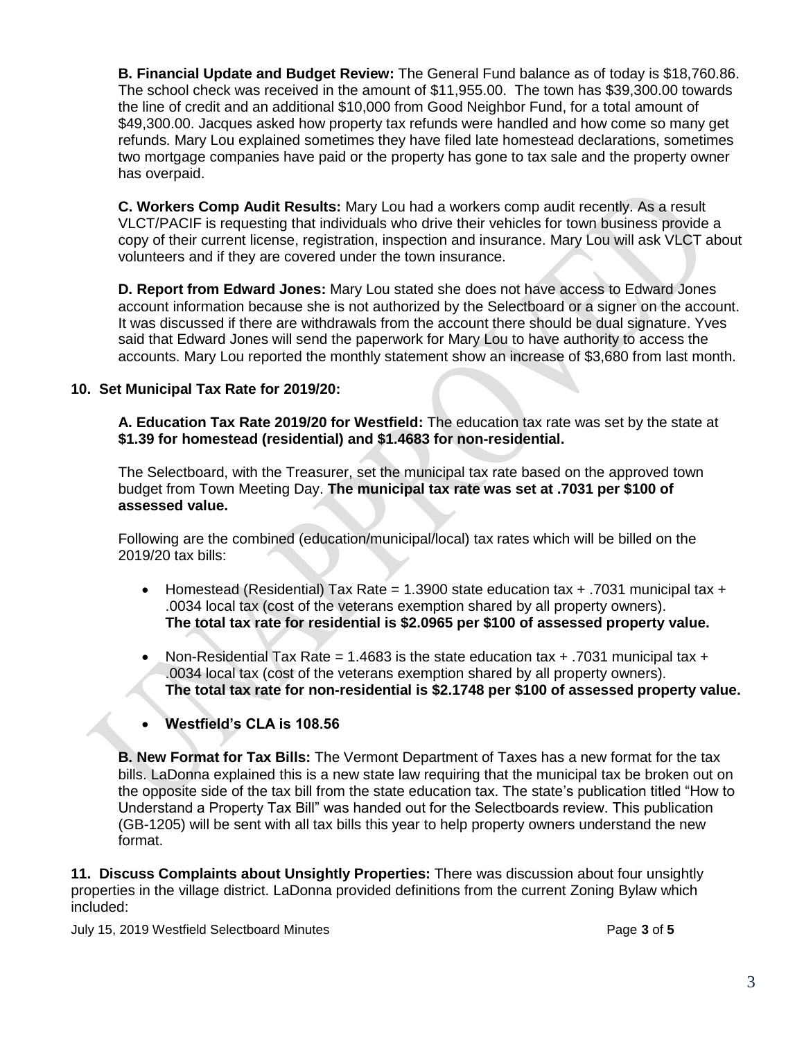**B. Financial Update and Budget Review:** The General Fund balance as of today is \$18,760.86. The school check was received in the amount of \$11,955.00. The town has \$39,300.00 towards the line of credit and an additional \$10,000 from Good Neighbor Fund, for a total amount of \$49,300.00. Jacques asked how property tax refunds were handled and how come so many get refunds. Mary Lou explained sometimes they have filed late homestead declarations, sometimes two mortgage companies have paid or the property has gone to tax sale and the property owner has overpaid.

**C. Workers Comp Audit Results:** Mary Lou had a workers comp audit recently. As a result VLCT/PACIF is requesting that individuals who drive their vehicles for town business provide a copy of their current license, registration, inspection and insurance. Mary Lou will ask VLCT about volunteers and if they are covered under the town insurance.

**D. Report from Edward Jones:** Mary Lou stated she does not have access to Edward Jones account information because she is not authorized by the Selectboard or a signer on the account. It was discussed if there are withdrawals from the account there should be dual signature. Yves said that Edward Jones will send the paperwork for Mary Lou to have authority to access the accounts. Mary Lou reported the monthly statement show an increase of \$3,680 from last month.

### **10. Set Municipal Tax Rate for 2019/20:**

**A. Education Tax Rate 2019/20 for Westfield:** The education tax rate was set by the state at **\$1.39 for homestead (residential) and \$1.4683 for non-residential.**

The Selectboard, with the Treasurer, set the municipal tax rate based on the approved town budget from Town Meeting Day. **The municipal tax rate was set at .7031 per \$100 of assessed value.** 

Following are the combined (education/municipal/local) tax rates which will be billed on the 2019/20 tax bills:

- Homestead (Residential) Tax Rate = 1.3900 state education tax  $+$  .7031 municipal tax  $+$ .0034 local tax (cost of the veterans exemption shared by all property owners). **The total tax rate for residential is \$2.0965 per \$100 of assessed property value.**
- Non-Residential Tax Rate = 1.4683 is the state education tax  $+$  .7031 municipal tax  $+$ .0034 local tax (cost of the veterans exemption shared by all property owners). **The total tax rate for non-residential is \$2.1748 per \$100 of assessed property value.**
- **Westfield's CLA is 108.56**

**B. New Format for Tax Bills:** The Vermont Department of Taxes has a new format for the tax bills. LaDonna explained this is a new state law requiring that the municipal tax be broken out on the opposite side of the tax bill from the state education tax. The state's publication titled "How to Understand a Property Tax Bill" was handed out for the Selectboards review. This publication (GB-1205) will be sent with all tax bills this year to help property owners understand the new format.

**11. Discuss Complaints about Unsightly Properties:** There was discussion about four unsightly properties in the village district. LaDonna provided definitions from the current Zoning Bylaw which included:

July 15, 2019 Westfield Selectboard Minutes Page **3** of **5**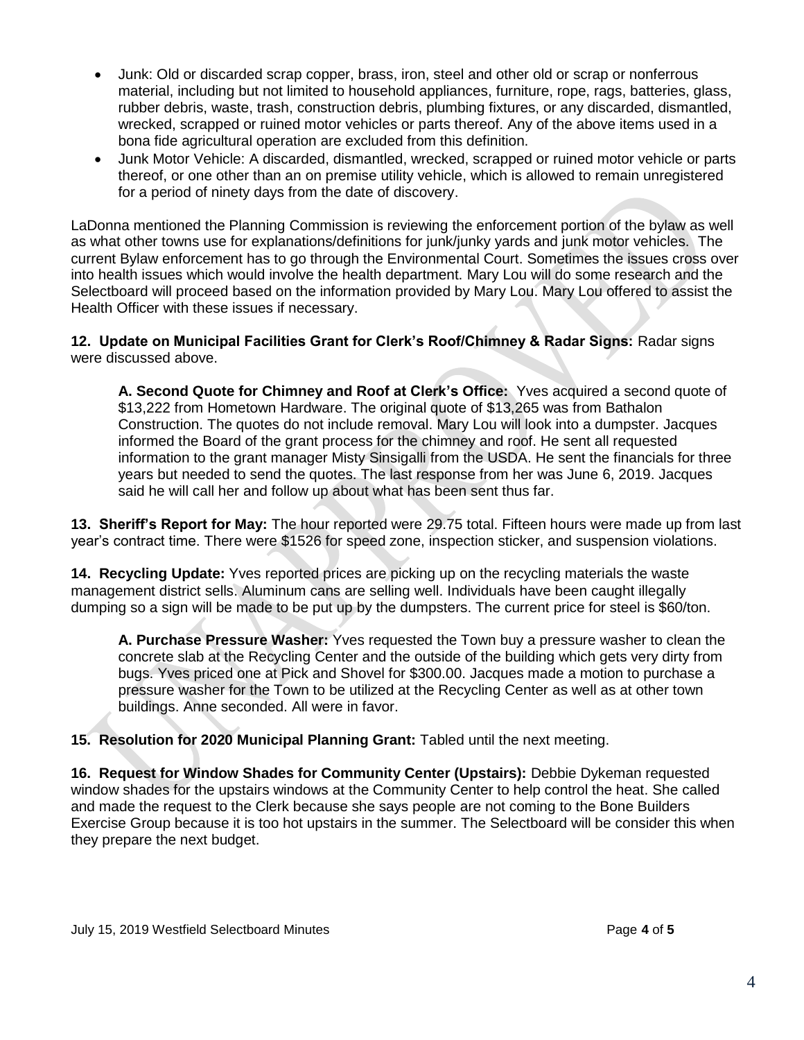- Junk: Old or discarded scrap copper, brass, iron, steel and other old or scrap or nonferrous material, including but not limited to household appliances, furniture, rope, rags, batteries, glass, rubber debris, waste, trash, construction debris, plumbing fixtures, or any discarded, dismantled, wrecked, scrapped or ruined motor vehicles or parts thereof. Any of the above items used in a bona fide agricultural operation are excluded from this definition.
- Junk Motor Vehicle: A discarded, dismantled, wrecked, scrapped or ruined motor vehicle or parts thereof, or one other than an on premise utility vehicle, which is allowed to remain unregistered for a period of ninety days from the date of discovery.

LaDonna mentioned the Planning Commission is reviewing the enforcement portion of the bylaw as well as what other towns use for explanations/definitions for junk/junky yards and junk motor vehicles. The current Bylaw enforcement has to go through the Environmental Court. Sometimes the issues cross over into health issues which would involve the health department. Mary Lou will do some research and the Selectboard will proceed based on the information provided by Mary Lou. Mary Lou offered to assist the Health Officer with these issues if necessary.

**12. Update on Municipal Facilities Grant for Clerk's Roof/Chimney & Radar Signs:** Radar signs were discussed above.

**A. Second Quote for Chimney and Roof at Clerk's Office:** Yves acquired a second quote of \$13,222 from Hometown Hardware. The original quote of \$13,265 was from Bathalon Construction. The quotes do not include removal. Mary Lou will look into a dumpster. Jacques informed the Board of the grant process for the chimney and roof. He sent all requested information to the grant manager Misty Sinsigalli from the USDA. He sent the financials for three years but needed to send the quotes. The last response from her was June 6, 2019. Jacques said he will call her and follow up about what has been sent thus far.

**13. Sheriff's Report for May:** The hour reported were 29.75 total. Fifteen hours were made up from last year's contract time. There were \$1526 for speed zone, inspection sticker, and suspension violations.

**14. Recycling Update:** Yves reported prices are picking up on the recycling materials the waste management district sells. Aluminum cans are selling well. Individuals have been caught illegally dumping so a sign will be made to be put up by the dumpsters. The current price for steel is \$60/ton.

**A. Purchase Pressure Washer:** Yves requested the Town buy a pressure washer to clean the concrete slab at the Recycling Center and the outside of the building which gets very dirty from bugs. Yves priced one at Pick and Shovel for \$300.00. Jacques made a motion to purchase a pressure washer for the Town to be utilized at the Recycling Center as well as at other town buildings. Anne seconded. All were in favor.

**15. Resolution for 2020 Municipal Planning Grant:** Tabled until the next meeting.

**16. Request for Window Shades for Community Center (Upstairs):** Debbie Dykeman requested window shades for the upstairs windows at the Community Center to help control the heat. She called and made the request to the Clerk because she says people are not coming to the Bone Builders Exercise Group because it is too hot upstairs in the summer. The Selectboard will be consider this when they prepare the next budget.